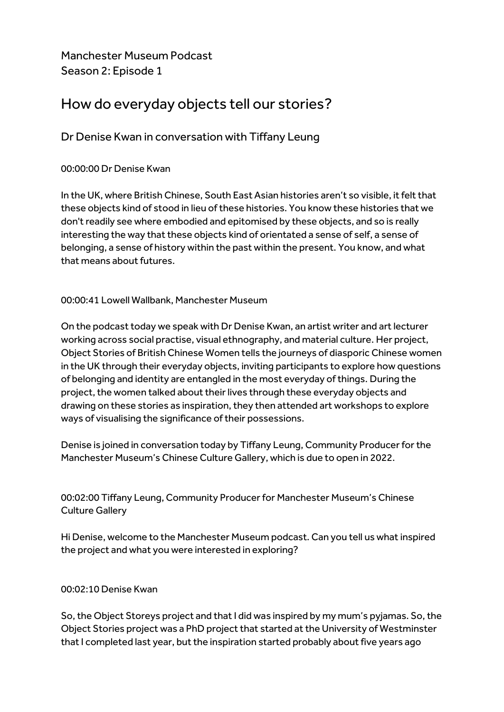Manchester Museum Podcast Season 2: Episode 1

# How do everyday objects tell our stories?

## Dr Denise Kwan in conversation with Tiffany Leung

## 00:00:00 Dr Denise Kwan

In the UK, where British Chinese, South East Asian histories aren't so visible, it felt that these objects kind of stood in lieu of these histories. You know these histories that we don't readily see where embodied and epitomised by these objects, and so is really interesting the way that these objects kind of orientated a sense of self, a sense of belonging, a sense of history within the past within the present. You know, and what that means about futures.

## 00:00:41 Lowell Wallbank, Manchester Museum

On the podcast today we speak with Dr Denise Kwan, an artist writer and art lecturer working across social practise, visual ethnography, and material culture. Her project, Object Stories of British Chinese Women tells the journeys of diasporic Chinese women in the UK through their everyday objects, inviting participants to explore how questions of belonging and identity are entangled in the most everyday of things. During the project, the women talked about their lives through these everyday objects and drawing on these stories as inspiration, they then attended art workshops to explore ways of visualising the significance of their possessions.

Denise is joined in conversation today by Tiffany Leung, Community Producer for the Manchester Museum's Chinese Culture Gallery, which is due to open in 2022.

00:02:00 Tiffany Leung, Community Producer for Manchester Museum's Chinese Culture Gallery

Hi Denise, welcome to the Manchester Museum podcast. Can you tell us what inspired the project and what you were interested in exploring?

## 00:02:10 Denise Kwan

So, the Object Storeys project and that I did was inspired by my mum's pyjamas. So, the Object Stories project was a PhD project that started at the University of Westminster that I completed last year, but the inspiration started probably about five years ago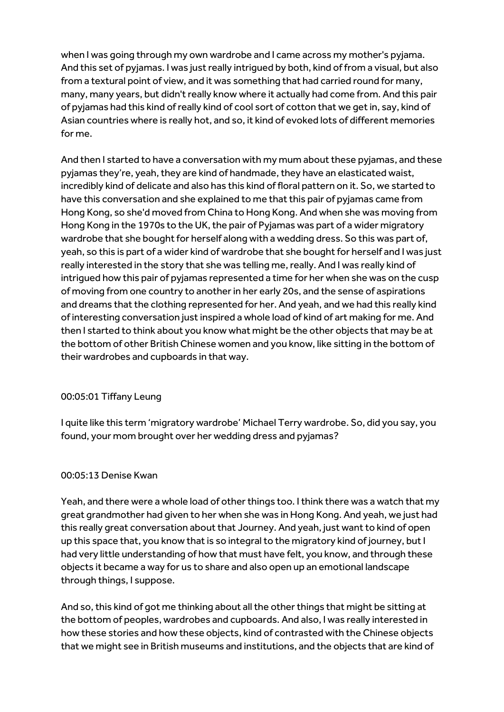when I was going through my own wardrobe and I came across my mother's pyjama. And this set of pyjamas. I was just really intrigued by both, kind of from a visual, but also from a textural point of view, and it was something that had carried round for many, many, many years, but didn't really know where it actually had come from. And this pair of pyjamas had this kind of really kind of cool sort of cotton that we get in, say, kind of Asian countries where is really hot, and so, it kind of evoked lots of different memories for me.

And then I started to have a conversation with my mum about these pyjamas, and these pyjamas they're, yeah, they are kind of handmade, they have an elasticated waist, incredibly kind of delicate and also has this kind of floral pattern on it. So, we started to have this conversation and she explained to me that this pair of pyjamas came from Hong Kong, so she'd moved from China to Hong Kong. And when she was moving from Hong Kong in the 1970s to the UK, the pair of Pyjamas was part of a wider migratory wardrobe that she bought for herself along with a wedding dress. So this was part of, yeah, so this is part of a wider kind of wardrobe that she bought for herself and I was just really interested in the story that she was telling me, really. And I was really kind of intrigued how this pair of pyjamas represented a time for her when she was on the cusp of moving from one country to another in her early 20s, and the sense of aspirations and dreams that the clothing represented for her. And yeah, and we had this really kind of interesting conversation just inspired a whole load of kind of art making for me. And then I started to think about you know what might be the other objects that may be at the bottom of other British Chinese women and you know, like sitting in the bottom of their wardrobes and cupboards in that way.

## 00:05:01 Tiffany Leung

I quite like this term 'migratory wardrobe' Michael Terry wardrobe. So, did you say, you found, your mom brought over her wedding dress and pyjamas?

## 00:05:13 Denise Kwan

Yeah, and there were a whole load of other things too. I think there was a watch that my great grandmother had given to her when she was in Hong Kong. And yeah, we just had this really great conversation about that Journey. And yeah, just want to kind of open up this space that, you know that is so integral to the migratory kind of journey, but I had very little understanding of how that must have felt, you know, and through these objects it became a way for us to share and also open up an emotional landscape through things, I suppose.

And so, this kind of got me thinking about all the other things that might be sitting at the bottom of peoples, wardrobes and cupboards. And also, I was really interested in how these stories and how these objects, kind of contrasted with the Chinese objects that we might see in British museums and institutions, and the objects that are kind of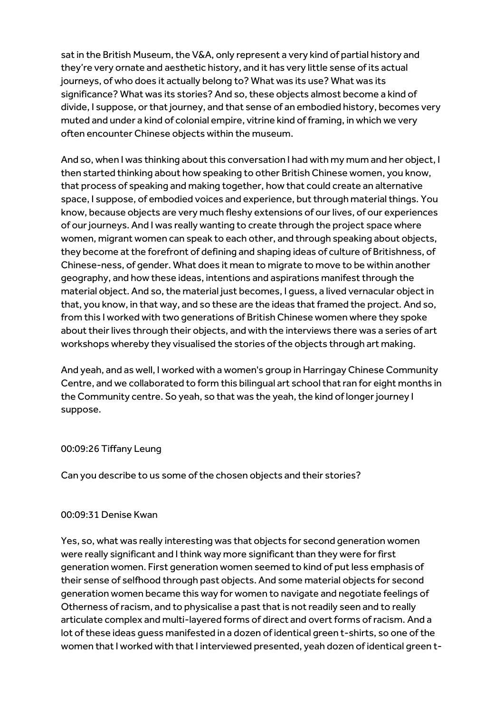sat in the British Museum, the V&A, only represent a very kind of partial history and they're very ornate and aesthetic history, and it has very little sense of its actual journeys, of who does it actually belong to? What was its use? What was its significance? What was its stories? And so, these objects almost become a kind of divide, I suppose, or that journey, and that sense of an embodied history, becomes very muted and under a kind of colonial empire, vitrine kind of framing, in which we very often encounter Chinese objects within the museum.

And so, when I was thinking about this conversation I had with my mum and her object, I then started thinking about how speaking to other British Chinese women, you know, that process of speaking and making together, how that could create an alternative space, I suppose, of embodied voices and experience, but through material things. You know, because objects are very much fleshy extensions of our lives, of our experiences of our journeys. And I was really wanting to create through the project space where women, migrant women can speak to each other, and through speaking about objects, they become at the forefront of defining and shaping ideas of culture of Britishness, of Chinese-ness, of gender. What does it mean to migrate to move to be within another geography, and how these ideas, intentions and aspirations manifest through the material object. And so, the material just becomes, I guess, a lived vernacular object in that, you know, in that way, and so these are the ideas that framed the project. And so, from this I worked with two generations of British Chinese women where they spoke about their lives through their objects, and with the interviews there was a series of art workshops whereby they visualised the stories of the objects through art making.

And yeah, and as well, I worked with a women's group in Harringay Chinese Community Centre, and we collaborated to form this bilingual art school that ran for eight months in the Community centre. So yeah, so that was the yeah, the kind of longer journey I suppose.

#### 00:09:26 Tiffany Leung

Can you describe to us some of the chosen objects and their stories?

#### 00:09:31 Denise Kwan

Yes, so, what was really interesting was that objects for second generation women were really significant and I think way more significant than they were for first generation women. First generation women seemed to kind of put less emphasis of their sense of selfhood through past objects. And some material objects for second generation women became this way for women to navigate and negotiate feelings of Otherness of racism, and to physicalise a past that is not readily seen and to really articulate complex and multi-layered forms of direct and overt forms of racism. And a lot of these ideas guess manifested in a dozen of identical green t-shirts, so one of the women that I worked with that I interviewed presented, yeah dozen of identical green t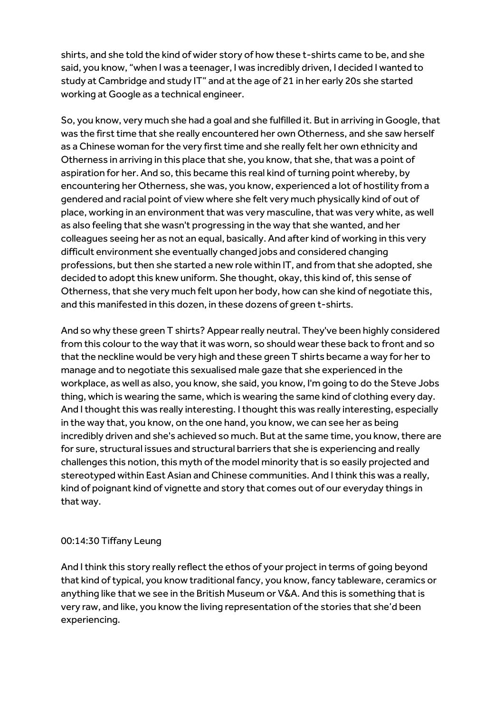shirts, and she told the kind of wider story of how these t-shirts came to be, and she said, you know, "when I was a teenager, I was incredibly driven, I decided I wanted to study at Cambridge and study IT" and at the age of 21 in her early 20s she started working at Google as a technical engineer.

So, you know, very much she had a goal and she fulfilled it. But in arriving in Google, that was the first time that she really encountered her own Otherness, and she saw herself as a Chinese woman for the very first time and she really felt her own ethnicity and Otherness in arriving in this place that she, you know, that she, that was a point of aspiration for her. And so, this became this real kind of turning point whereby, by encountering her Otherness, she was, you know, experienced a lot of hostility from a gendered and racial point of view where she felt very much physically kind of out of place, working in an environment that was very masculine, that was very white, as well as also feeling that she wasn't progressing in the way that she wanted, and her colleagues seeing her as not an equal, basically. And after kind of working in this very difficult environment she eventually changed jobs and considered changing professions, but then she started a new role within IT, and from that she adopted, she decided to adopt this knew uniform. She thought, okay, this kind of, this sense of Otherness, that she very much felt upon her body, how can she kind of negotiate this, and this manifested in this dozen, in these dozens of green t-shirts.

And so why these green T shirts? Appear really neutral. They've been highly considered from this colour to the way that it was worn, so should wear these back to front and so that the neckline would be very high and these green T shirts became a way for her to manage and to negotiate this sexualised male gaze that she experienced in the workplace, as well as also, you know, she said, you know, I'm going to do the Steve Jobs thing, which is wearing the same, which is wearing the same kind of clothing every day. And I thought this was really interesting. I thought this was really interesting, especially in the way that, you know, on the one hand, you know, we can see her as being incredibly driven and she's achieved so much. But at the same time, you know, there are for sure, structural issues and structural barriers that she is experiencing and really challenges this notion, this myth of the model minority that is so easily projected and stereotyped within East Asian and Chinese communities. And I think this was a really, kind of poignant kind of vignette and story that comes out of our everyday things in that way.

## 00:14:30 Tiffany Leung

And I think this story really reflect the ethos of your project in terms of going beyond that kind of typical, you know traditional fancy, you know, fancy tableware, ceramics or anything like that we see in the British Museum or V&A. And this is something that is very raw, and like, you know the living representation of the stories that she'd been experiencing.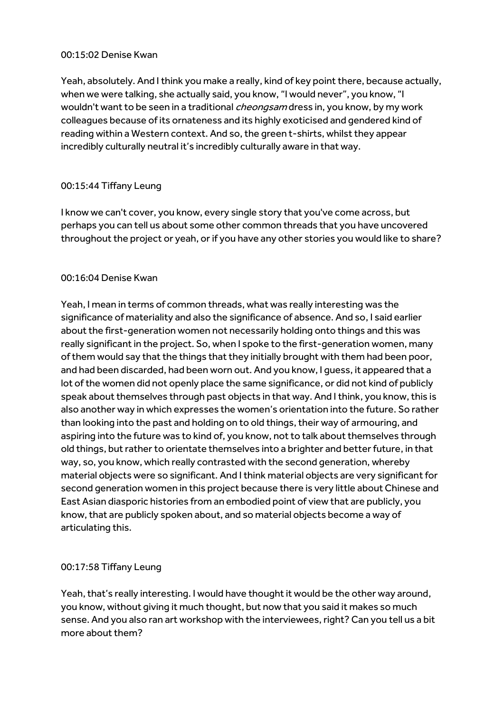#### 00:15:02 Denise Kwan

Yeah, absolutely. And I think you make a really, kind of key point there, because actually, when we were talking, she actually said, you know, "I would never", you know, "I wouldn't want to be seen in a traditional *cheongsam* dress in, you know, by my work colleagues because of its ornateness and its highly exoticised and gendered kind of reading within a Western context. And so, the green t-shirts, whilst they appear incredibly culturally neutral it's incredibly culturally aware in that way.

## 00:15:44 Tiffany Leung

I know we can't cover, you know, every single story that you've come across, but perhaps you can tell us about some other common threads that you have uncovered throughout the project or yeah, or if you have any other stories you would like to share?

## 00:16:04 Denise Kwan

Yeah, I mean in terms of common threads, what was really interesting was the significance of materiality and also the significance of absence. And so, I said earlier about the first-generation women not necessarily holding onto things and this was really significant in the project. So, when I spoke to the first-generation women, many of them would say that the things that they initially brought with them had been poor, and had been discarded, had been worn out. And you know, I guess, it appeared that a lot of the women did not openly place the same significance, or did not kind of publicly speak about themselves through past objects in that way. And I think, you know, this is also another way in which expresses the women's orientation into the future. So rather than looking into the past and holding on to old things, their way of armouring, and aspiring into the future was to kind of, you know, not to talk about themselves through old things, but rather to orientate themselves into a brighter and better future, in that way, so, you know, which really contrasted with the second generation, whereby material objects were so significant. And I think material objects are very significant for second generation women in this project because there is very little about Chinese and East Asian diasporic histories from an embodied point of view that are publicly, you know, that are publicly spoken about, and so material objects become a way of articulating this.

## 00:17:58 Tiffany Leung

Yeah, that's really interesting. I would have thought it would be the other way around, you know, without giving it much thought, but now that you said it makes so much sense. And you also ran art workshop with the interviewees, right? Can you tell us a bit more about them?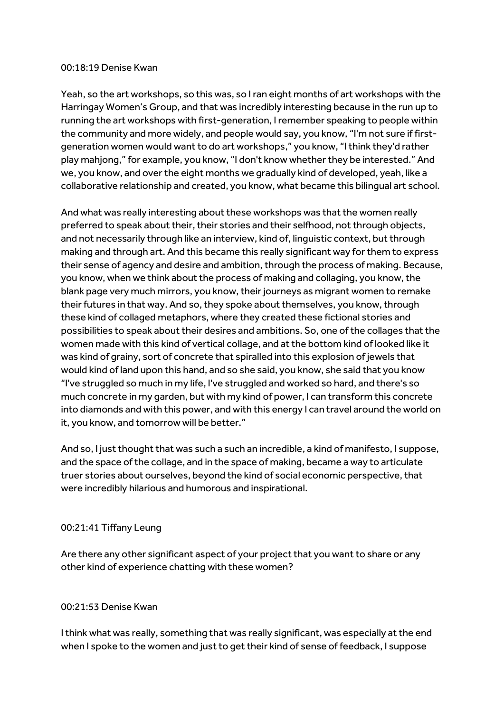#### 00:18:19 Denise Kwan

Yeah, so the art workshops, so this was, so I ran eight months of art workshops with the Harringay Women's Group, and that was incredibly interesting because in the run up to running the art workshops with first-generation, I remember speaking to people within the community and more widely, and people would say, you know, "I'm not sure if firstgeneration women would want to do art workshops," you know, "I think they'd rather play mahjong," for example, you know, "I don't know whether they be interested." And we, you know, and over the eight months we gradually kind of developed, yeah, like a collaborative relationship and created, you know, what became this bilingual art school.

And what was really interesting about these workshops was that the women really preferred to speak about their, their stories and their selfhood, not through objects, and not necessarily through like an interview, kind of, linguistic context, but through making and through art. And this became this really significant way for them to express their sense of agency and desire and ambition, through the process of making. Because, you know, when we think about the process of making and collaging, you know, the blank page very much mirrors, you know, their journeys as migrant women to remake their futures in that way. And so, they spoke about themselves, you know, through these kind of collaged metaphors, where they created these fictional stories and possibilities to speak about their desires and ambitions. So, one of the collages that the women made with this kind of vertical collage, and at the bottom kind of looked like it was kind of grainy, sort of concrete that spiralled into this explosion of jewels that would kind of land upon this hand, and so she said, you know, she said that you know "I've struggled so much in my life, I've struggled and worked so hard, and there's so much concrete in my garden, but with my kind of power, I can transform this concrete into diamonds and with this power, and with this energy I can travel around the world on it, you know, and tomorrow will be better."

And so, I just thought that was such a such an incredible, a kind of manifesto, I suppose, and the space of the collage, and in the space of making, became a way to articulate truer stories about ourselves, beyond the kind of social economic perspective, that were incredibly hilarious and humorous and inspirational.

#### 00:21:41 Tiffany Leung

Are there any other significant aspect of your project that you want to share or any other kind of experience chatting with these women?

## 00:21:53 Denise Kwan

I think what was really, something that was really significant, was especially at the end when I spoke to the women and just to get their kind of sense of feedback, I suppose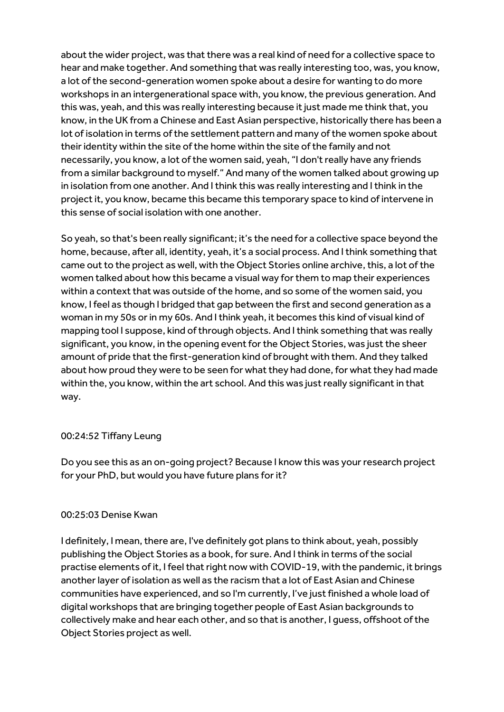about the wider project, was that there was a real kind of need for a collective space to hear and make together. And something that was really interesting too, was, you know, a lot of the second-generation women spoke about a desire for wanting to do more workshops in an intergenerational space with, you know, the previous generation. And this was, yeah, and this was really interesting because it just made me think that, you know, in the UK from a Chinese and East Asian perspective, historically there has been a lot of isolation in terms of the settlement pattern and many of the women spoke about their identity within the site of the home within the site of the family and not necessarily, you know, a lot of the women said, yeah, "I don't really have any friends from a similar background to myself." And many of the women talked about growing up in isolation from one another. And I think this was really interesting and I think in the project it, you know, became this became this temporary space to kind of intervene in this sense of social isolation with one another.

So yeah, so that's been really significant; it's the need for a collective space beyond the home, because, after all, identity, yeah, it's a social process. And I think something that came out to the project as well, with the Object Stories online archive, this, a lot of the women talked about how this became a visual way for them to map their experiences within a context that was outside of the home, and so some of the women said, you know, I feel as though I bridged that gap between the first and second generation as a woman in my 50s or in my 60s. And I think yeah, it becomes this kind of visual kind of mapping tool I suppose, kind of through objects. And I think something that was really significant, you know, in the opening event for the Object Stories, was just the sheer amount of pride that the first-generation kind of brought with them. And they talked about how proud they were to be seen for what they had done, for what they had made within the, you know, within the art school. And this was just really significant in that way.

#### 00:24:52 Tiffany Leung

Do you see this as an on-going project? Because I know this was your research project for your PhD, but would you have future plans for it?

## 00:25:03 Denise Kwan

I definitely, I mean, there are, I've definitely got plans to think about, yeah, possibly publishing the Object Stories as a book, for sure. And I think in terms of the social practise elements of it, I feel that right now with COVID-19, with the pandemic, it brings another layer of isolation as well as the racism that a lot of East Asian and Chinese communities have experienced, and so I'm currently, I've just finished a whole load of digital workshops that are bringing together people of East Asian backgrounds to collectively make and hear each other, and so that is another, I guess, offshoot of the Object Stories project as well.